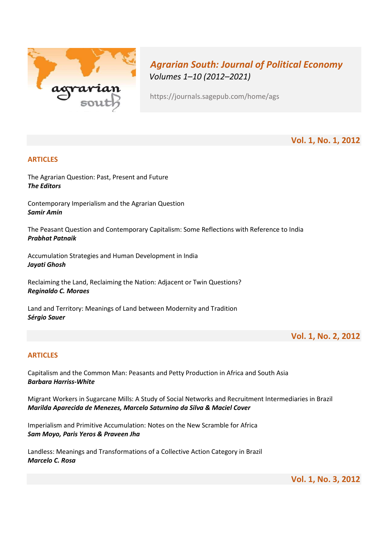

# Agrarian South: Journal of Political Economy Volumes 1–10 (2012–2021)

https://journals.sagepub.com/home/ags

Vol. 1, No. 1, 2012

# ARTICLES

The Agrarian Question: Past, Present and Future The Editors

Contemporary Imperialism and the Agrarian Question Samir Amin

The Peasant Question and Contemporary Capitalism: Some Reflections with Reference to India Prabhat Patnaik

Accumulation Strategies and Human Development in India Jayati Ghosh

Reclaiming the Land, Reclaiming the Nation: Adjacent or Twin Questions? Reginaldo C. Moraes

Land and Territory: Meanings of Land between Modernity and Tradition Sérgio Sauer

Vol. 1, No. 2, 2012

# **ARTICLES**

Capitalism and the Common Man: Peasants and Petty Production in Africa and South Asia Barbara Harriss-White

Migrant Workers in Sugarcane Mills: A Study of Social Networks and Recruitment Intermediaries in Brazil Marilda Aparecida de Menezes, Marcelo Saturnino da Silva & Maciel Cover

Imperialism and Primitive Accumulation: Notes on the New Scramble for Africa Sam Moyo, Paris Yeros & Praveen Jha

Landless: Μeanings and Τransformations of a Collective Action Category in Brazil Marcelo C. Rosa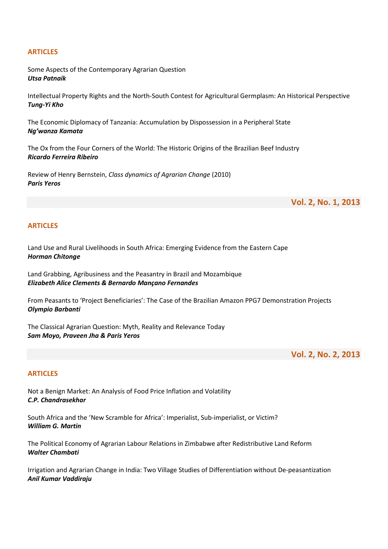Some Aspects of the Contemporary Agrarian Question Utsa Patnaik

Intellectual Property Rights and the North-South Contest for Agricultural Germplasm: An Historical Perspective Tung-Yi Kho

The Economic Diplomacy of Tanzania: Accumulation by Dispossession in a Peripheral State Ng'wanza Kamata

The Ox from the Four Corners of the World: The Historic Origins of the Brazilian Beef Industry Ricardo Ferreira Ribeiro

Review of Henry Bernstein, Class dynamics of Agrarian Change (2010) Paris Yeros

Vol. 2, No. 1, 2013

#### **ARTICLES**

Land Use and Rural Livelihoods in South Africa: Emerging Evidence from the Eastern Cape Horman Chitonge

Land Grabbing, Agribusiness and the Peasantry in Brazil and Mozambique Elizabeth Alice Clements & Bernardo Mançano Fernandes

From Peasants to 'Project Beneficiaries': The Case of the Brazilian Amazon PPG7 Demonstration Projects Olympio Barbanti

The Classical Agrarian Question: Myth, Reality and Relevance Today Sam Moyo, Praveen Jha & Paris Yeros

Vol. 2, No. 2, 2013

#### ARTICLES

Not a Benign Market: An Analysis of Food Price Inflation and Volatility C.P. Chandrasekhar

South Africa and the 'New Scramble for Africa': Imperialist, Sub-imperialist, or Victim? William G. Martin

The Political Economy of Agrarian Labour Relations in Zimbabwe after Redistributive Land Reform Walter Chambati

Irrigation and Agrarian Change in India: Two Village Studies of Differentiation without De-peasantization Anil Kumar Vaddiraju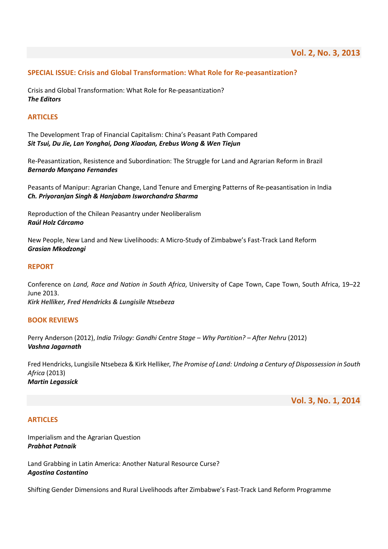## SPECIAL ISSUE: Crisis and Global Transformation: What Role for Re-peasantization?

Crisis and Global Transformation: What Role for Re-peasantization? The Editors

#### ARTICLES

The Development Trap of Financial Capitalism: China's Peasant Path Compared Sit Tsui, Du Jie, Lan Yonghai, Dong Xiaodan, Erebus Wong & Wen Tiejun

Re-Peasantization, Resistence and Subordination: The Struggle for Land and Agrarian Reform in Brazil Bernardo Mançano Fernandes

Peasants of Manipur: Agrarian Change, Land Tenure and Emerging Patterns of Re-peasantisation in India Ch. Priyoranjan Singh & Hanjabam Isworchandra Sharma

Reproduction of the Chilean Peasantry under Neoliberalism Raúl Holz Cárcamo

New People, New Land and New Livelihoods: A Micro-Study of Zimbabwe's Fast-Track Land Reform Grasian Mkodzongi

#### REPORT

Conference on Land, Race and Nation in South Africa, University of Cape Town, Cape Town, South Africa, 19–22 June 2013. Kirk Helliker, Fred Hendricks & Lungisile Ntsebeza

#### BOOK REVIEWS

Perry Anderson (2012), India Trilogy: Gandhi Centre Stage – Why Partition? – After Nehru (2012) Vashna Jagarnath

Fred Hendricks, Lungisile Ntsebeza & Kirk Helliker, The Promise of Land: Undoing a Century of Dispossession in South Africa (2013) Martin Legassick

Vol. 3, No. 1, 2014

#### ARTICLES

Imperialism and the Agrarian Question Prabhat Patnaik

Land Grabbing in Latin America: Another Natural Resource Curse? Agostina Costantino

Shifting Gender Dimensions and Rural Livelihoods after Zimbabwe's Fast-Track Land Reform Programme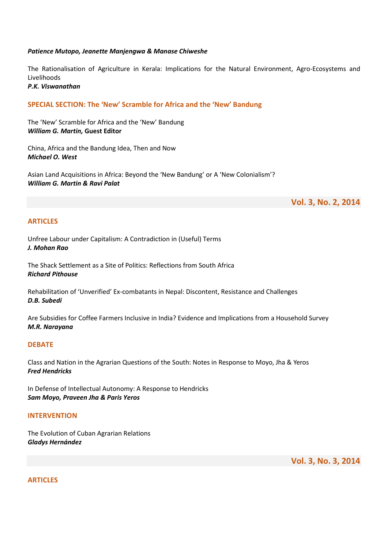#### Patience Mutopo, Jeanette Manjengwa & Manase Chiweshe

The Rationalisation of Agriculture in Kerala: Implications for the Natural Environment, Agro-Ecosystems and Livelihoods

P.K. Viswanathan

## SPECIAL SECTION: The 'New' Scramble for Africa and the 'New' Bandung

The 'New' Scramble for Africa and the 'New' Bandung William G. Martin, Guest Editor

China, Africa and the Bandung Idea, Then and Now Michael O. West

Asian Land Acquisitions in Africa: Beyond the 'New Bandung' or A 'New Colonialism'? William G. Martin & Ravi Palat

Vol. 3, No. 2, 2014

#### ARTICLES

Unfree Labour under Capitalism: A Contradiction in (Useful) Terms J. Mohan Rao

The Shack Settlement as a Site of Politics: Reflections from South Africa Richard Pithouse

Rehabilitation of 'Unverified' Ex-combatants in Nepal: Discontent, Resistance and Challenges D.B. Subedi

Are Subsidies for Coffee Farmers Inclusive in India? Evidence and Implications from a Household Survey M.R. Narayana

#### **DEBATE**

Class and Nation in the Agrarian Questions of the South: Notes in Response to Moyo, Jha & Yeros Fred Hendricks

In Defense of Intellectual Autonomy: A Response to Hendricks Sam Moyo, Praveen Jha & Paris Yeros

#### INTERVENTION

The Evolution of Cuban Agrarian Relations Gladys Hernández

Vol. 3, No. 3, 2014

**ARTICLES**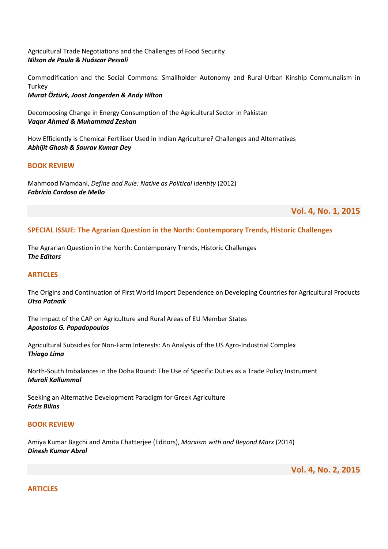Agricultural Trade Negotiations and the Challenges of Food Security Nilson de Paula & Huáscar Pessali

Commodification and the Social Commons: Smallholder Autonomy and Rural-Urban Kinship Communalism in **Turkey** Murat Öztürk, Joost Jongerden & Andy Hilton

Decomposing Change in Energy Consumption of the Agricultural Sector in Pakistan Vaqar Ahmed & Muhammad Zeshan

How Efficiently is Chemical Fertiliser Used in Indian Agriculture? Challenges and Alternatives Abhijit Ghosh & Saurav Kumar Dey

## BOOK REVIEW

Mahmood Mamdani, Define and Rule: Native as Political Identity (2012) Fabrício Cardoso de Mello

Vol. 4, No. 1, 2015

# SPECIAL ISSUE: The Agrarian Question in the North: Contemporary Trends, Historic Challenges

The Agrarian Question in the North: Contemporary Trends, Historic Challenges The Editors

## **ARTICLES**

The Origins and Continuation of First World Import Dependence on Developing Countries for Agricultural Products Utsa Patnaik

The Impact of the CAP on Agriculture and Rural Areas of EU Member States Apostolos G. Papadopoulos

Agricultural Subsidies for Non-Farm Interests: An Analysis of the US Agro-Industrial Complex Thiago Lima

North-South Imbalances in the Doha Round: The Use of Specific Duties as a Trade Policy Instrument Murali Kallummal

Seeking an Alternative Development Paradigm for Greek Agriculture Fotis Bilias

#### BOOK REVIEW

Amiya Kumar Bagchi and Amita Chatterjee (Editors), Marxism with and Beyond Marx (2014) Dinesh Kumar Abrol

Vol. 4, No. 2, 2015

**ARTICLES**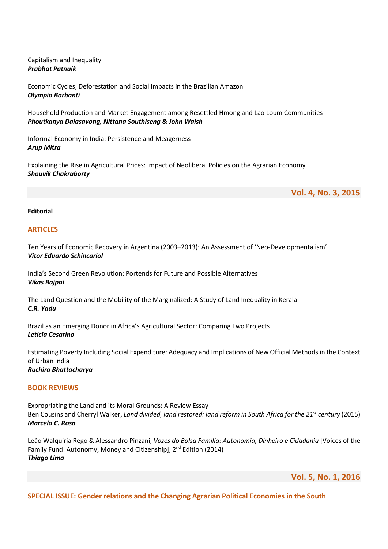Capitalism and Inequality Prabhat Patnaik

Economic Cycles, Deforestation and Social Impacts in the Brazilian Amazon Olympio Barbanti

Household Production and Market Engagement among Resettled Hmong and Lao Loum Communities Phoutkanya Dalasavong, Nittana Southiseng & John Walsh

Informal Economy in India: Persistence and Meagerness Arup Mitra

Explaining the Rise in Agricultural Prices: Impact of Neoliberal Policies on the Agrarian Economy Shouvik Chakraborty

Vol. 4, No. 3, 2015

#### Editorial

#### **ARTICLES**

Ten Years of Economic Recovery in Argentina (2003–2013): An Assessment of 'Neo-Developmentalism' Vitor Eduardo Schincariol

India's Second Green Revolution: Portends for Future and Possible Alternatives Vikas Bajpai

The Land Question and the Mobility of the Marginalized: A Study of Land Inequality in Kerala C.R. Yadu

Brazil as an Emerging Donor in Africa's Agricultural Sector: Comparing Two Projects Letícia Cesarino

Estimating Poverty Including Social Expenditure: Adequacy and Implications of New Official Methods in the Context of Urban India Ruchira Bhattacharya

#### BOOK REVIEWS

Expropriating the Land and its Moral Grounds: A Review Essay Ben Cousins and Cherryl Walker, Land divided, land restored: land reform in South Africa for the 21<sup>st</sup> century (2015) Marcelo C. Rosa

Leão Walquíria Rego & Alessandro Pinzani, Vozes do Bolsa Família: Autonomia, Dinheiro e Cidadania [Voices of the Family Fund: Autonomy, Money and Citizenship], 2<sup>nd</sup> Edition (2014) Thiago Lima

Vol. 5, No. 1, 2016

SPECIAL ISSUE: Gender relations and the Changing Agrarian Political Economies in the South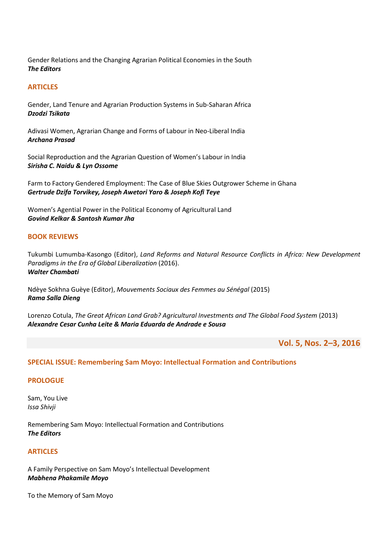Gender Relations and the Changing Agrarian Political Economies in the South The Editors

# ARTICLES

Gender, Land Tenure and Agrarian Production Systems in Sub-Saharan Africa Dzodzi Tsikata

Adivasi Women, Agrarian Change and Forms of Labour in Neo-Liberal India Archana Prasad

Social Reproduction and the Agrarian Question of Women's Labour in India Sirisha C. Naidu & Lyn Ossome

Farm to Factory Gendered Employment: The Case of Blue Skies Outgrower Scheme in Ghana Gertrude Dzifa Torvikey, Joseph Awetori Yaro & Joseph Kofi Teye

Women's Agential Power in the Political Economy of Agricultural Land Govind Kelkar & Santosh Kumar Jha

#### BOOK REVIEWS

Tukumbi Lumumba-Kasongo (Editor), Land Reforms and Natural Resource Conflicts in Africa: New Development Paradigms in the Era of Global Liberalization (2016). Walter Chambati

Ndèye Sokhna Guèye (Editor), Mouvements Sociaux des Femmes au Sénégal (2015) Rama Salla Dieng

Lorenzo Cotula, The Great African Land Grab? Agricultural Investments and The Global Food System (2013) Alexandre Cesar Cunha Leite & Maria Eduarda de Andrade e Sousa

Vol. 5, Nos. 2–3, 2016

#### SPECIAL ISSUE: Remembering Sam Moyo: Intellectual Formation and Contributions

#### **PROLOGUE**

Sam, You Live Issa Shivji

Remembering Sam Moyo: Intellectual Formation and Contributions The Editors

#### ARTICLES

A Family Perspective on Sam Moyo's Intellectual Development Mabhena Phakamile Moyo

To the Memory of Sam Moyo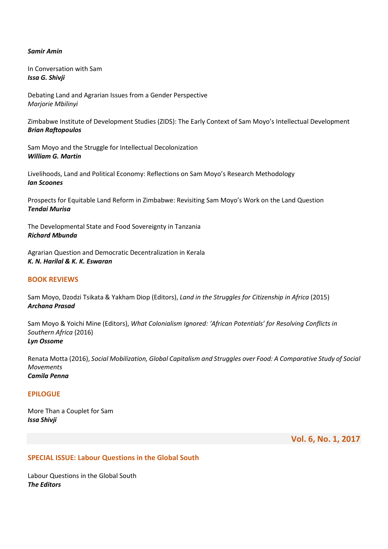#### Samir Amin

In Conversation with Sam Issa G. Shivji

Debating Land and Agrarian Issues from a Gender Perspective Marjorie Mbilinyi

Zimbabwe Institute of Development Studies (ZIDS): The Early Context of Sam Moyo's Intellectual Development Brian Raftopoulos

Sam Moyo and the Struggle for Intellectual Decolonization William G. Martin

Livelihoods, Land and Political Economy: Reflections on Sam Moyo's Research Methodology Ian Scoones

Prospects for Equitable Land Reform in Zimbabwe: Revisiting Sam Moyo's Work on the Land Question Tendai Murisa

The Developmental State and Food Sovereignty in Tanzania Richard Mbunda

Agrarian Question and Democratic Decentralization in Kerala K. N. Harilal & K. K. Eswaran

# BOOK REVIEWS

Sam Moyo, Dzodzi Tsikata & Yakham Diop (Editors), Land in the Struggles for Citizenship in Africa (2015) Archana Prasad

Sam Moyo & Yoichi Mine (Editors), What Colonialism Ignored: 'African Potentials' for Resolving Conflicts in Southern Africa (2016) Lyn Ossome

Renata Motta (2016), Social Mobilization, Global Capitalism and Struggles over Food: A Comparative Study of Social Movements Camila Penna

## EPILOGUE

More Than a Couplet for Sam Issa Shivji

Vol. 6, No. 1, 2017

#### SPECIAL ISSUE: Labour Questions in the Global South

Labour Questions in the Global South The Editors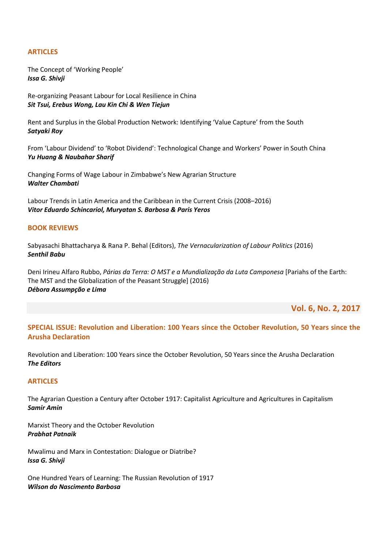The Concept of 'Working People' Issa G. Shivji

Re-organizing Peasant Labour for Local Resilience in China Sit Tsui, Erebus Wong, Lau Kin Chi & Wen Tiejun

Rent and Surplus in the Global Production Network: Identifying 'Value Capture' from the South Satyaki Roy

From 'Labour Dividend' to 'Robot Dividend': Technological Change and Workers' Power in South China Yu Huang & Naubahar Sharif

Changing Forms of Wage Labour in Zimbabwe's New Agrarian Structure Walter Chambati

Labour Trends in Latin America and the Caribbean in the Current Crisis (2008–2016) Vitor Eduardo Schincariol, Muryatan S. Barbosa & Paris Yeros

# BOOK REVIEWS

Sabyasachi Bhattacharya & Rana P. Behal (Editors), The Vernacularization of Labour Politics (2016) Senthil Babu

Deni Irineu Alfaro Rubbo, Párias da Terra: O MST e a Mundialização da Luta Camponesa [Pariahs of the Earth: The MST and the Globalization of the Peasant Struggle] (2016) Débora Assumpção e Lima

Vol. 6, No. 2, 2017

# SPECIAL ISSUE: Revolution and Liberation: 100 Years since the October Revolution, 50 Years since the Arusha Declaration

Revolution and Liberation: 100 Years since the October Revolution, 50 Years since the Arusha Declaration The Editors

#### ARTICLES

The Agrarian Question a Century after October 1917: Capitalist Agriculture and Agricultures in Capitalism Samir Amin

Marxist Theory and the October Revolution Prabhat Patnaik

Mwalimu and Marx in Contestation: Dialogue or Diatribe? Issa G. Shivji

One Hundred Years of Learning: The Russian Revolution of 1917 Wilson do Nascimento Barbosa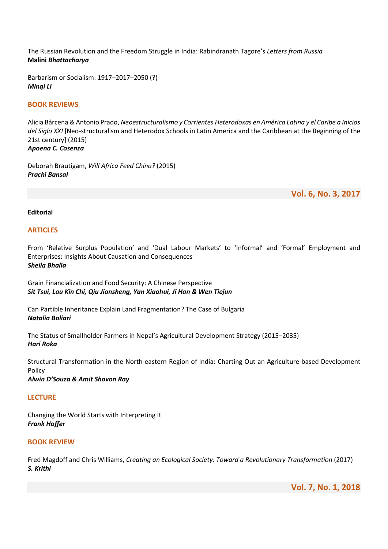The Russian Revolution and the Freedom Struggle in India: Rabindranath Tagore's Letters from Russia Malini Bhattacharya

Barbarism or Socialism: 1917–2017–2050 (?) Minqi Li

## BOOK REVIEWS

Alicia Bárcena & Antonio Prado, Neoestructuralismo y Corrientes Heterodoxas en América Latina y el Caribe a Inicios del Siglo XXI [Neo-structuralism and Heterodox Schools in Latin America and the Caribbean at the Beginning of the 21st century] (2015) Apoena C. Cosenza

Deborah Brautigam, Will Africa Feed China? (2015) Prachi Bansal

Vol. 6, No. 3, 2017

#### Editorial

#### ARTICLES

From 'Relative Surplus Population' and 'Dual Labour Markets' to 'Informal' and 'Formal' Employment and Enterprises: Insights About Causation and Consequences Sheila Bhalla

Grain Financialization and Food Security: A Chinese Perspective Sit Tsui, Lau Kin Chi, Qiu Jiansheng, Yan Xiaohui, Ji Han & Wen Tiejun

Can Partible Inheritance Explain Land Fragmentation? The Case of Bulgaria Natalia Boliari

The Status of Smallholder Farmers in Nepal's Agricultural Development Strategy (2015–2035) Hari Roka

Structural Transformation in the North-eastern Region of India: Charting Out an Agriculture-based Development Policy

Alwin D'Souza & Amit Shovon Ray

#### **LECTURE**

Changing the World Starts with Interpreting It Frank Hoffer

## BOOK REVIEW

Fred Magdoff and Chris Williams, Creating an Ecological Society: Toward a Revolutionary Transformation (2017) S. Krithi

Vol. 7, No. 1, 2018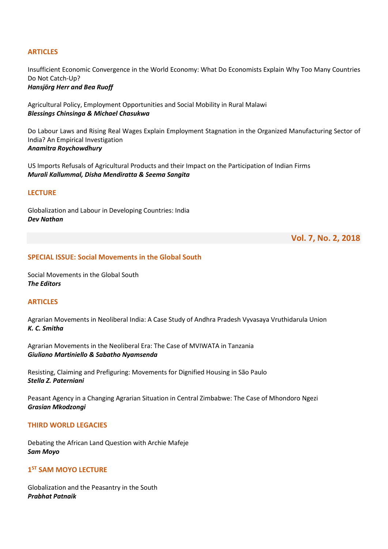Insufficient Economic Convergence in the World Economy: What Do Economists Explain Why Too Many Countries Do Not Catch-Up?

Hansjörg Herr and Bea Ruoff

Agricultural Policy, Employment Opportunities and Social Mobility in Rural Malawi Blessings Chinsinga & Michael Chasukwa

Do Labour Laws and Rising Real Wages Explain Employment Stagnation in the Organized Manufacturing Sector of India? An Empirical Investigation Anamitra Roychowdhury

US Imports Refusals of Agricultural Products and their Impact on the Participation of Indian Firms Murali Kallummal, Disha Mendiratta & Seema Sangita

#### **LECTURE**

Globalization and Labour in Developing Countries: India Dev Nathan

Vol. 7, No. 2, 2018

## SPECIAL ISSUE: Social Movements in the Global South

Social Movements in the Global South The Editors

#### ARTICLES

Agrarian Movements in Neoliberal India: A Case Study of Andhra Pradesh Vyvasaya Vruthidarula Union K. C. Smitha

Agrarian Movements in the Neoliberal Era: The Case of MVIWATA in Tanzania Giuliano Martiniello & Sabatho Nyamsenda

Resisting, Claiming and Prefiguring: Movements for Dignified Housing in São Paulo Stella Z. Paterniani

Peasant Agency in a Changing Agrarian Situation in Central Zimbabwe: The Case of Mhondoro Ngezi Grasian Mkodzongi

#### THIRD WORLD LEGACIES

Debating the African Land Question with Archie Mafeje Sam Moyo

# 1<sup>ST</sup> SAM MOYO LECTURE

Globalization and the Peasantry in the South Prabhat Patnaik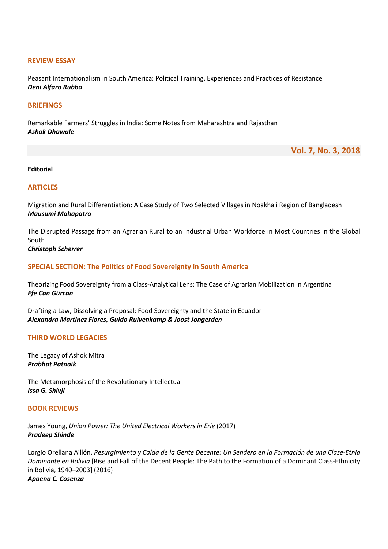#### REVIEW ESSAY

Peasant Internationalism in South America: Political Training, Experiences and Practices of Resistance Deni Alfaro Rubbo

#### **BRIFFINGS**

Remarkable Farmers' Struggles in India: Some Notes from Maharashtra and Rajasthan Ashok Dhawale

Vol. 7, No. 3, 2018

## Editorial

#### **ARTICLES**

Migration and Rural Differentiation: A Case Study of Two Selected Villages in Noakhali Region of Bangladesh Mausumi Mahapatro

The Disrupted Passage from an Agrarian Rural to an Industrial Urban Workforce in Most Countries in the Global South

Christoph Scherrer

#### SPECIAL SECTION: The Politics of Food Sovereignty in South America

Theorizing Food Sovereignty from a Class-Analytical Lens: The Case of Agrarian Mobilization in Argentina Efe Can Gürcan

Drafting a Law, Dissolving a Proposal: Food Sovereignty and the State in Ecuador Alexandra Martinez Flores, Guido Ruivenkamp & Joost Jongerden

#### THIRD WORLD LEGACIES

The Legacy of Ashok Mitra Prabhat Patnaik

The Metamorphosis of the Revolutionary Intellectual Issa G. Shivji

#### BOOK REVIEWS

James Young, Union Power: The United Electrical Workers in Erie (2017) Pradeep Shinde

Lorgio Orellana Aillón, Resurgimiento y Caída de la Gente Decente: Un Sendero en la Formación de una Clase-Etnia Dominante en Bolivia [Rise and Fall of the Decent People: The Path to the Formation of a Dominant Class-Ethnicity in Bolivia, 1940–2003] (2016) Apoena C. Cosenza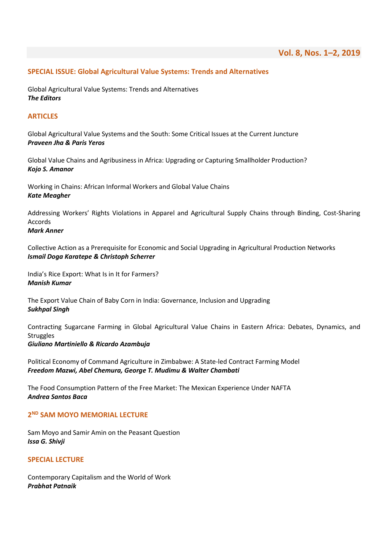## SPECIAL ISSUE: Global Agricultural Value Systems: Trends and Alternatives

Global Agricultural Value Systems: Trends and Alternatives The Editors

## ARTICLES

Global Agricultural Value Systems and the South: Some Critical Issues at the Current Juncture Praveen Jha & Paris Yeros

Global Value Chains and Agribusiness in Africa: Upgrading or Capturing Smallholder Production? Kojo S. Amanor

Working in Chains: African Informal Workers and Global Value Chains Kate Meagher

Addressing Workers' Rights Violations in Apparel and Agricultural Supply Chains through Binding, Cost-Sharing Accords

## Mark Anner

Collective Action as a Prerequisite for Economic and Social Upgrading in Agricultural Production Networks Ismail Doga Karatepe & Christoph Scherrer

India's Rice Export: What Is in It for Farmers? Manish Kumar

The Export Value Chain of Baby Corn in India: Governance, Inclusion and Upgrading Sukhpal Singh

Contracting Sugarcane Farming in Global Agricultural Value Chains in Eastern Africa: Debates, Dynamics, and **Struggles** Giuliano Martiniello & Ricardo Azambuja

Political Economy of Command Agriculture in Zimbabwe: A State-led Contract Farming Model

Freedom Mazwi, Abel Chemura, George T. Mudimu & Walter Chambati

The Food Consumption Pattern of the Free Market: The Mexican Experience Under NAFTA Andrea Santos Baca

## 2<sup>ND</sup> SAM MOYO MEMORIAL LECTURE

Sam Moyo and Samir Amin on the Peasant Question Issa G. Shivji

#### SPECIAL LECTURE

Contemporary Capitalism and the World of Work Prabhat Patnaik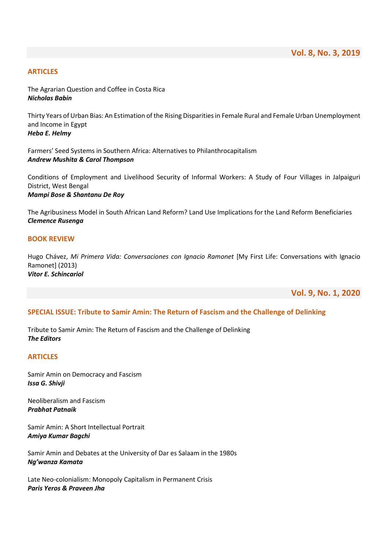The Agrarian Question and Coffee in Costa Rica Nicholas Babin

Thirty Years of Urban Bias: An Estimation of the Rising Disparities in Female Rural and Female Urban Unemployment and Income in Egypt Heba E. Helmy

Farmers' Seed Systems in Southern Africa: Alternatives to Philanthrocapitalism Andrew Mushita & Carol Thompson

Conditions of Employment and Livelihood Security of Informal Workers: A Study of Four Villages in Jalpaiguri District, West Bengal Mampi Bose & Shantanu De Roy

The Agribusiness Model in South African Land Reform? Land Use Implications for the Land Reform Beneficiaries Clemence Rusenga

#### BOOK REVIEW

Hugo Chávez, Mi Primera Vida: Conversaciones con Ignacio Ramonet [My First Life: Conversations with Ignacio Ramonet] (2013) Vitor E. Schincariol

Vol. 9, No. 1, 2020

#### SPECIAL ISSUE: Tribute to Samir Amin: The Return of Fascism and the Challenge of Delinking

Tribute to Samir Amin: The Return of Fascism and the Challenge of Delinking The Editors

#### ARTICLES

Samir Amin on Democracy and Fascism Issa G. Shivji

Neoliberalism and Fascism Prabhat Patnaik

Samir Amin: A Short Intellectual Portrait Amiya Kumar Bagchi

Samir Amin and Debates at the University of Dar es Salaam in the 1980s Ng'wanza Kamata

Late Neo-colonialism: Monopoly Capitalism in Permanent Crisis Paris Yeros & Praveen Jha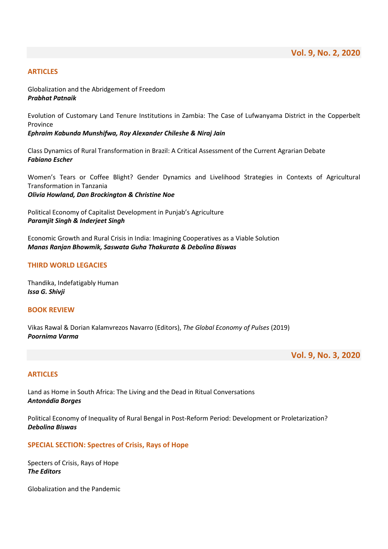Globalization and the Abridgement of Freedom Prabhat Patnaik

Evolution of Customary Land Tenure Institutions in Zambia: The Case of Lufwanyama District in the Copperbelt Province

Ephraim Kabunda Munshifwa, Roy Alexander Chileshe & Niraj Jain

Class Dynamics of Rural Transformation in Brazil: A Critical Assessment of the Current Agrarian Debate Fabiano Escher

Women's Tears or Coffee Blight? Gender Dynamics and Livelihood Strategies in Contexts of Agricultural Transformation in Tanzania Olivia Howland, Dan Brockington & Christine Noe

Political Economy of Capitalist Development in Punjab's Agriculture Paramjit Singh & Inderjeet Singh

Economic Growth and Rural Crisis in India: Imagining Cooperatives as a Viable Solution Manas Ranjan Bhowmik, Saswata Guha Thakurata & Debolina Biswas

## THIRD WORLD LEGACIES

Thandika, Indefatigably Human Issa G. Shivji

## BOOK REVIEW

Vikas Rawal & Dorian Kalamvrezos Navarro (Editors), The Global Economy of Pulses (2019) Poornima Varma

Vol. 9, No. 3, 2020

#### ARTICLES

Land as Home in South Africa: The Living and the Dead in Ritual Conversations Antonádia Borges

Political Economy of Inequality of Rural Bengal in Post-Reform Period: Development or Proletarization? Debolina Biswas

#### SPECIAL SECTION: Spectres of Crisis, Rays of Hope

Specters of Crisis, Rays of Hope The Editors

Globalization and the Pandemic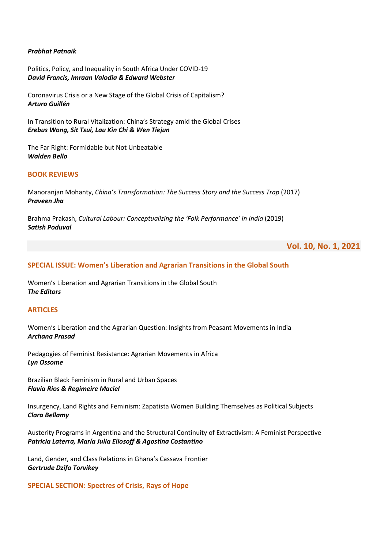#### Prabhat Patnaik

Politics, Policy, and Inequality in South Africa Under COVID-19 David Francis, Imraan Valodia & Edward Webster

Coronavirus Crisis or a New Stage of the Global Crisis of Capitalism? Arturo Guillén

In Transition to Rural Vitalization: China's Strategy amid the Global Crises Erebus Wong, Sit Tsui, Lau Kin Chi & Wen Tiejun

The Far Right: Formidable but Not Unbeatable Walden Bello

## BOOK REVIEWS

Manoranjan Mohanty, China's Transformation: The Success Story and the Success Trap (2017) Praveen Jha

Brahma Prakash, Cultural Labour: Conceptualizing the 'Folk Performance' in India (2019) Satish Poduval

# Vol. 10, No. 1, 2021

#### SPECIAL ISSUE: Women's Liberation and Agrarian Transitions in the Global South

Women's Liberation and Agrarian Transitions in the Global South The Editors

#### **ARTICLES**

Women's Liberation and the Agrarian Question: Insights from Peasant Movements in India Archana Prasad

Pedagogies of Feminist Resistance: Agrarian Movements in Africa Lyn Ossome

Brazilian Black Feminism in Rural and Urban Spaces Flavia Rios & Regimeire Maciel

Insurgency, Land Rights and Feminism: Zapatista Women Building Themselves as Political Subjects Clara Bellamy

Austerity Programs in Argentina and the Structural Continuity of Extractivism: A Feminist Perspective Patricia Laterra, María Julia Eliosoff & Agostina Costantino

Land, Gender, and Class Relations in Ghana's Cassava Frontier Gertrude Dzifa Torvikey

SPECIAL SECTION: Spectres of Crisis, Rays of Hope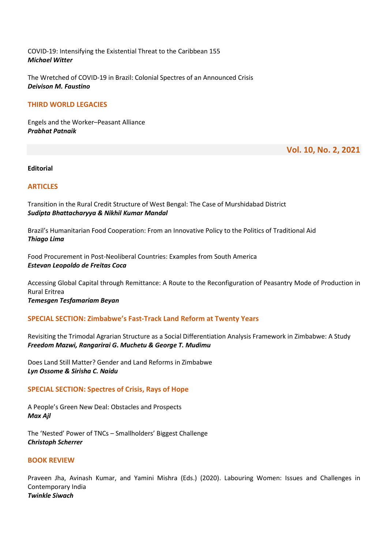COVID-19: Intensifying the Existential Threat to the Caribbean 155 Michael Witter

The Wretched of COVID-19 in Brazil: Colonial Spectres of an Announced Crisis Deivison M. Faustino

## THIRD WORLD LEGACIES

Engels and the Worker–Peasant Alliance Prabhat Patnaik

Vol. 10, No. 2, 2021

Editorial

## ARTICLES

Transition in the Rural Credit Structure of West Bengal: The Case of Murshidabad District Sudipta Bhattacharyya & Nikhil Kumar Mandal

Brazil's Humanitarian Food Cooperation: From an Innovative Policy to the Politics of Traditional Aid Thiago Lima

Food Procurement in Post-Neoliberal Countries: Examples from South America Estevan Leopoldo de Freitas Coca

Accessing Global Capital through Remittance: A Route to the Reconfiguration of Peasantry Mode of Production in Rural Eritrea

Temesgen Tesfamariam Beyan

# SPECIAL SECTION: Zimbabwe's Fast-Track Land Reform at Twenty Years

Revisiting the Trimodal Agrarian Structure as a Social Differentiation Analysis Framework in Zimbabwe: A Study Freedom Mazwi, Rangarirai G. Muchetu & George T. Mudimu

Does Land Still Matter? Gender and Land Reforms in Zimbabwe Lyn Ossome & Sirisha C. Naidu

#### SPECIAL SECTION: Spectres of Crisis, Rays of Hope

A People's Green New Deal: Obstacles and Prospects Max Ajl

The 'Nested' Power of TNCs – Smallholders' Biggest Challenge Christoph Scherrer

## BOOK REVIEW

Praveen Jha, Avinash Kumar, and Yamini Mishra (Eds.) (2020). Labouring Women: Issues and Challenges in Contemporary India Twinkle Siwach